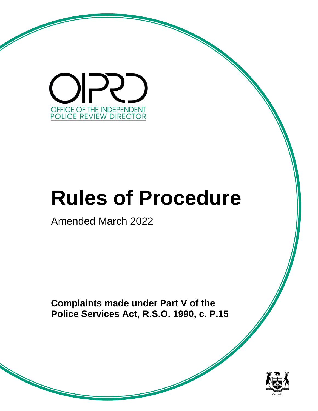

# **Rules of Procedure**

Amended March 2022

**Complaints made under Part V of the Police Services Act, R.S.O. 1990, c. P.15**

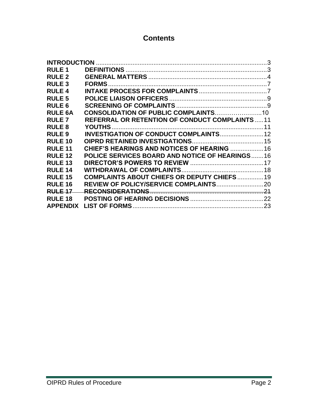# **Contents**

| <b>RULE 1</b>   |                                                       |    |
|-----------------|-------------------------------------------------------|----|
| <b>RULE 2</b>   |                                                       |    |
| <b>RULE 3</b>   | <b>FORMS</b>                                          |    |
| <b>RULE 4</b>   |                                                       |    |
| <b>RULE 5</b>   |                                                       |    |
| <b>RULE 6</b>   |                                                       |    |
| <b>RULE 6A</b>  | CONSOLIDATION OF PUBLIC COMPLAINTS10                  |    |
| <b>RULE 7</b>   | <b>REFERRAL OR RETENTION OF CONDUCT COMPLAINTS11</b>  |    |
| <b>RULE 8</b>   |                                                       | 11 |
| <b>RULE 9</b>   | <b>INVESTIGATION OF CONDUCT COMPLAINTS 12</b>         |    |
| <b>RULE 10</b>  |                                                       |    |
| <b>RULE 11</b>  | <b>CHIEF'S HEARINGS AND NOTICES OF HEARING  16</b>    |    |
| <b>RULE 12</b>  | <b>POLICE SERVICES BOARD AND NOTICE OF HEARINGS16</b> |    |
| <b>RULE 13</b>  |                                                       |    |
| <b>RULE 14</b>  |                                                       |    |
| <b>RULE 15</b>  | <b>COMPLAINTS ABOUT CHIEFS OR DEPUTY CHIEFS  19</b>   |    |
| <b>RULE 16</b>  |                                                       |    |
| <b>RULE 17</b>  |                                                       |    |
| <b>RULE 18</b>  |                                                       |    |
| <b>APPFNDIX</b> |                                                       |    |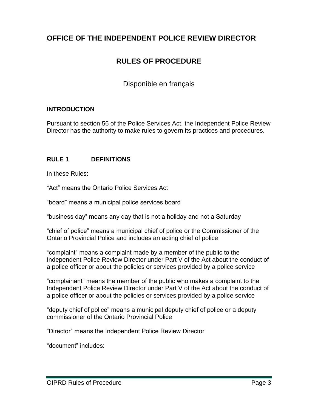# **OFFICE OF THE INDEPENDENT POLICE REVIEW DIRECTOR**

# **RULES OF PROCEDURE**

Disponible en français

#### <span id="page-2-0"></span>**INTRODUCTION**

Pursuant to section 56 of the Police Services Act, the Independent Police Review Director has the authority to make rules to govern its practices and procedures.

#### <span id="page-2-1"></span>**RULE 1 DEFINITIONS**

In these Rules:

*"*Act" means the Ontario Police Services Act

"board" means a municipal police services board

"business day" means any day that is not a holiday and not a Saturday

"chief of police" means a municipal chief of police or the Commissioner of the Ontario Provincial Police and includes an acting chief of police

"complaint" means a complaint made by a member of the public to the Independent Police Review Director under Part V of the Act about the conduct of a police officer or about the policies or services provided by a police service

"complainant" means the member of the public who makes a complaint to the Independent Police Review Director under Part V of the Act about the conduct of a police officer or about the policies or services provided by a police service

"deputy chief of police" means a municipal deputy chief of police or a deputy commissioner of the Ontario Provincial Police

"Director" means the Independent Police Review Director

"document" includes: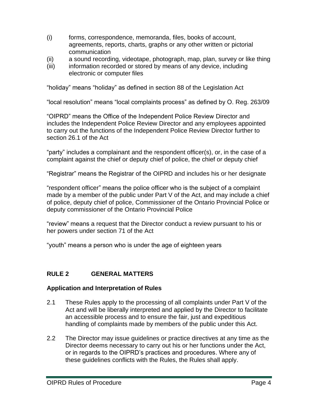- (i) forms, correspondence, memoranda, files, books of account, agreements, reports, charts, graphs or any other written or pictorial communication
- (ii) a sound recording, videotape, photograph, map, plan, survey or like thing
- (iii) information recorded or stored by means of any device, including electronic or computer files

"holiday" means "holiday" as defined in section 88 of the Legislation Act

"local resolution" means "local complaints process" as defined by O. Reg. 263/09

"OIPRD" means the Office of the Independent Police Review Director and includes the Independent Police Review Director and any employees appointed to carry out the functions of the Independent Police Review Director further to section 26.1 of the Act

"party" includes a complainant and the respondent officer(s), or, in the case of a complaint against the chief or deputy chief of police, the chief or deputy chief

"Registrar" means the Registrar of the OIPRD and includes his or her designate

"respondent officer" means the police officer who is the subject of a complaint made by a member of the public under Part V of the Act, and may include a chief of police, deputy chief of police, Commissioner of the Ontario Provincial Police or deputy commissioner of the Ontario Provincial Police

"review" means a request that the Director conduct a review pursuant to his or her powers under section 71 of the Act

"youth" means a person who is under the age of eighteen years

# <span id="page-3-0"></span>**RULE 2 GENERAL MATTERS**

#### **Application and Interpretation of Rules**

- 2.1 These Rules apply to the processing of all complaints under Part V of the Act and will be liberally interpreted and applied by the Director to facilitate an accessible process and to ensure the fair, just and expeditious handling of complaints made by members of the public under this Act.
- 2.2 The Director may issue guidelines or practice directives at any time as the Director deems necessary to carry out his or her functions under the Act, or in regards to the OIPRD's practices and procedures. Where any of these guidelines conflicts with the Rules, the Rules shall apply.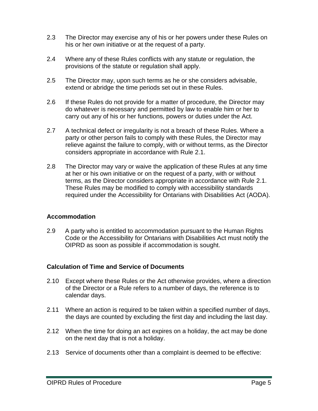- 2.3 The Director may exercise any of his or her powers under these Rules on his or her own initiative or at the request of a party.
- 2.4 Where any of these Rules conflicts with any statute or regulation, the provisions of the statute or regulation shall apply.
- 2.5 The Director may, upon such terms as he or she considers advisable, extend or abridge the time periods set out in these Rules.
- 2.6 If these Rules do not provide for a matter of procedure, the Director may do whatever is necessary and permitted by law to enable him or her to carry out any of his or her functions, powers or duties under the Act.
- 2.7 A technical defect or irregularity is not a breach of these Rules. Where a party or other person fails to comply with these Rules, the Director may relieve against the failure to comply, with or without terms, as the Director considers appropriate in accordance with Rule 2.1.
- 2.8 The Director may vary or waive the application of these Rules at any time at her or his own initiative or on the request of a party, with or without terms, as the Director considers appropriate in accordance with Rule 2.1. These Rules may be modified to comply with accessibility standards required under the Accessibility for Ontarians with Disabilities Act (AODA).

#### **Accommodation**

2.9 A party who is entitled to accommodation pursuant to the Human Rights Code or the Accessibility for Ontarians with Disabilities Act must notify the OIPRD as soon as possible if accommodation is sought.

#### **Calculation of Time and Service of Documents**

- 2.10 Except where these Rules or the Act otherwise provides, where a direction of the Director or a Rule refers to a number of days, the reference is to calendar days.
- 2.11 Where an action is required to be taken within a specified number of days, the days are counted by excluding the first day and including the last day.
- 2.12 When the time for doing an act expires on a holiday, the act may be done on the next day that is not a holiday.
- 2.13 Service of documents other than a complaint is deemed to be effective: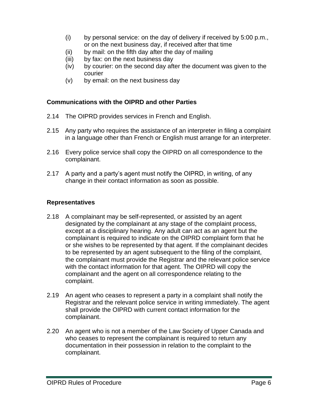- (i) by personal service: on the day of delivery if received by 5:00 p.m., or on the next business day, if received after that time
- (ii) by mail: on the fifth day after the day of mailing
- (iii) by fax: on the next business day
- (iv) by courier: on the second day after the document was given to the courier
- (v) by email: on the next business day

#### **Communications with the OIPRD and other Parties**

- 2.14 The OIPRD provides services in French and English.
- 2.15 Any party who requires the assistance of an interpreter in filing a complaint in a language other than French or English must arrange for an interpreter.
- 2.16 Every police service shall copy the OIPRD on all correspondence to the complainant.
- 2.17 A party and a party's agent must notify the OIPRD, in writing, of any change in their contact information as soon as possible.

#### **Representatives**

- 2.18 A complainant may be self-represented, or assisted by an agent designated by the complainant at any stage of the complaint process, except at a disciplinary hearing. Any adult can act as an agent but the complainant is required to indicate on the OIPRD complaint form that he or she wishes to be represented by that agent. If the complainant decides to be represented by an agent subsequent to the filing of the complaint, the complainant must provide the Registrar and the relevant police service with the contact information for that agent. The OIPRD will copy the complainant and the agent on all correspondence relating to the complaint.
- 2.19 An agent who ceases to represent a party in a complaint shall notify the Registrar and the relevant police service in writing immediately. The agent shall provide the OIPRD with current contact information for the complainant.
- 2.20 An agent who is not a member of the Law Society of Upper Canada and who ceases to represent the complainant is required to return any documentation in their possession in relation to the complaint to the complainant.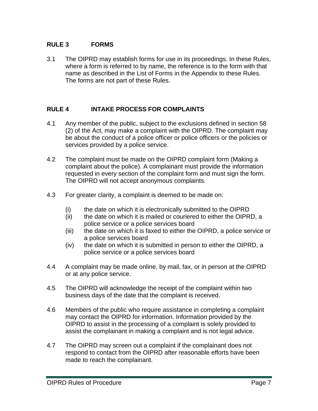#### <span id="page-6-0"></span>**RULE 3 FORMS**

3.1 The OIPRD may establish forms for use in its proceedings. In these Rules, where a form is referred to by name, the reference is to the form with that name as described in the List of Forms in the Appendix to these Rules. The forms are not part of these Rules.

#### <span id="page-6-1"></span>**RULE 4 INTAKE PROCESS FOR COMPLAINTS**

- 4.1 Any member of the public, subject to the exclusions defined in section 58 (2) of the Act, may make a complaint with the OIPRD. The complaint may be about the conduct of a police officer or police officers or the policies or services provided by a police service.
- 4.2 The complaint must be made on the OIPRD complaint form (Making a complaint about the police). A complainant must provide the information requested in every section of the complaint form and must sign the form. The OIPRD will not accept anonymous complaints.
- 4.3 For greater clarity, a complaint is deemed to be made on:
	- (i) the date on which it is electronically submitted to the OIPRD
	- (ii) the date on which it is mailed or couriered to either the OIPRD, a police service or a police services board
	- (iii) the date on which it is faxed to either the OIPRD, a police service or a police services board
	- (iv) the date on which it is submitted in person to either the OIPRD, a police service or a police services board
- 4.4 A complaint may be made online, by mail, fax, or in person at the OIPRD or at any police service.
- 4.5 The OIPRD will acknowledge the receipt of the complaint within two business days of the date that the complaint is received.
- 4.6 Members of the public who require assistance in completing a complaint may contact the OIPRD for information. Information provided by the OIPRD to assist in the processing of a complaint is solely provided to assist the complainant in making a complaint and is not legal advice.
- 4.7 The OIPRD may screen out a complaint if the complainant does not respond to contact from the OIPRD after reasonable efforts have been made to reach the complainant.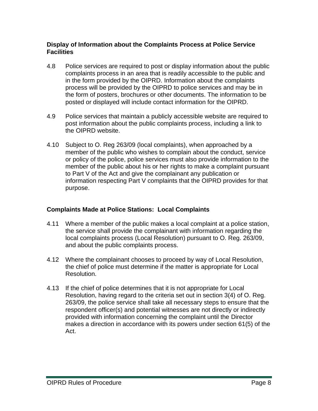#### **Display of Information about the Complaints Process at Police Service Facilities**

- 4.8 Police services are required to post or display information about the public complaints process in an area that is readily accessible to the public and in the form provided by the OIPRD. Information about the complaints process will be provided by the OIPRD to police services and may be in the form of posters, brochures or other documents. The information to be posted or displayed will include contact information for the OIPRD.
- 4.9 Police services that maintain a publicly accessible website are required to post information about the public complaints process, including a link to the OIPRD website.
- 4.10 Subject to O. Reg 263/09 (local complaints), when approached by a member of the public who wishes to complain about the conduct, service or policy of the police, police services must also provide information to the member of the public about his or her rights to make a complaint pursuant to Part V of the Act and give the complainant any publication or information respecting Part V complaints that the OIPRD provides for that purpose.

#### **Complaints Made at Police Stations: Local Complaints**

- 4.11 Where a member of the public makes a local complaint at a police station, the service shall provide the complainant with information regarding the local complaints process (Local Resolution) pursuant to O. Reg. 263/09, and about the public complaints process.
- 4.12 Where the complainant chooses to proceed by way of Local Resolution, the chief of police must determine if the matter is appropriate for Local Resolution.
- 4.13 If the chief of police determines that it is not appropriate for Local Resolution, having regard to the criteria set out in section 3(4) of O. Reg. 263/09, the police service shall take all necessary steps to ensure that the respondent officer(s) and potential witnesses are not directly or indirectly provided with information concerning the complaint until the Director makes a direction in accordance with its powers under section 61(5) of the Act.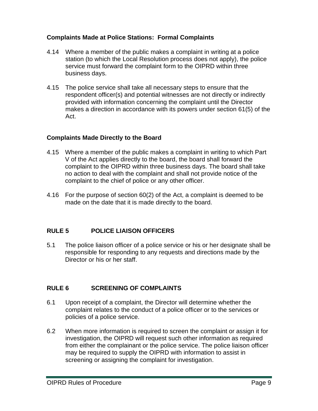#### **Complaints Made at Police Stations: Formal Complaints**

- 4.14 Where a member of the public makes a complaint in writing at a police station (to which the Local Resolution process does not apply), the police service must forward the complaint form to the OIPRD within three business days.
- 4.15 The police service shall take all necessary steps to ensure that the respondent officer(s) and potential witnesses are not directly or indirectly provided with information concerning the complaint until the Director makes a direction in accordance with its powers under section 61(5) of the Act.

#### **Complaints Made Directly to the Board**

- 4.15 Where a member of the public makes a complaint in writing to which Part V of the Act applies directly to the board, the board shall forward the complaint to the OIPRD within three business days. The board shall take no action to deal with the complaint and shall not provide notice of the complaint to the chief of police or any other officer.
- 4.16 For the purpose of section 60(2) of the Act, a complaint is deemed to be made on the date that it is made directly to the board.

#### <span id="page-8-0"></span>**RULE 5 POLICE LIAISON OFFICERS**

5.1 The police liaison officer of a police service or his or her designate shall be responsible for responding to any requests and directions made by the Director or his or her staff.

# <span id="page-8-1"></span>**RULE 6 SCREENING OF COMPLAINTS**

- 6.1 Upon receipt of a complaint, the Director will determine whether the complaint relates to the conduct of a police officer or to the services or policies of a police service.
- 6.2 When more information is required to screen the complaint or assign it for investigation, the OIPRD will request such other information as required from either the complainant or the police service. The police liaison officer may be required to supply the OIPRD with information to assist in screening or assigning the complaint for investigation.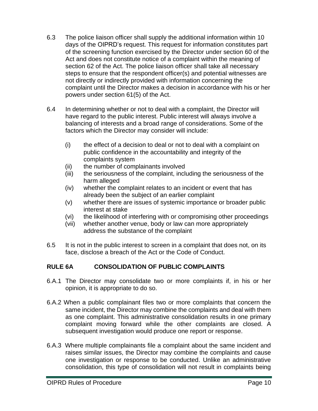- 6.3 The police liaison officer shall supply the additional information within 10 days of the OIPRD's request. This request for information constitutes part of the screening function exercised by the Director under section 60 of the Act and does not constitute notice of a complaint within the meaning of section 62 of the Act. The police liaison officer shall take all necessary steps to ensure that the respondent officer(s) and potential witnesses are not directly or indirectly provided with information concerning the complaint until the Director makes a decision in accordance with his or her powers under section 61(5) of the Act.
- 6.4 In determining whether or not to deal with a complaint, the Director will have regard to the public interest. Public interest will always involve a balancing of interests and a broad range of considerations. Some of the factors which the Director may consider will include:
	- (i) the effect of a decision to deal or not to deal with a complaint on public confidence in the accountability and integrity of the complaints system
	- (ii) the number of complainants involved
	- (iii) the seriousness of the complaint, including the seriousness of the harm alleged
	- (iv) whether the complaint relates to an incident or event that has already been the subject of an earlier complaint
	- (v) whether there are issues of systemic importance or broader public interest at stake
	- (vi) the likelihood of interfering with or compromising other proceedings
	- (vii) whether another venue, body or law can more appropriately address the substance of the complaint
- 6.5 It is not in the public interest to screen in a complaint that does not, on its face, disclose a breach of the Act or the Code of Conduct.

# **RULE 6A CONSOLIDATION OF PUBLIC COMPLAINTS**

- 6.A.1 The Director may consolidate two or more complaints if, in his or her opinion, it is appropriate to do so.
- 6.A.2 When a public complainant files two or more complaints that concern the same incident, the Director may combine the complaints and deal with them as one complaint. This administrative consolidation results in one primary complaint moving forward while the other complaints are closed. A subsequent investigation would produce one report or response.
- 6.A.3 Where multiple complainants file a complaint about the same incident and raises similar issues, the Director may combine the complaints and cause one investigation or response to be conducted. Unlike an administrative consolidation, this type of consolidation will not result in complaints being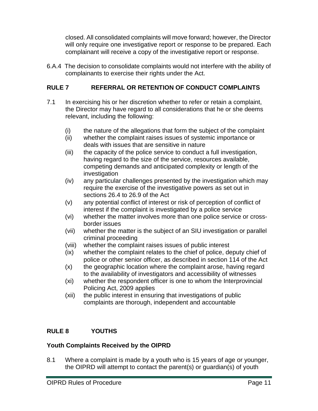closed. All consolidated complaints will move forward; however, the Director will only require one investigative report or response to be prepared. Each complainant will receive a copy of the investigative report or response.

6.A.4 The decision to consolidate complaints would not interfere with the ability of complainants to exercise their rights under the Act.

# <span id="page-10-0"></span>**RULE 7 REFERRAL OR RETENTION OF CONDUCT COMPLAINTS**

- 7.1 In exercising his or her discretion whether to refer or retain a complaint, the Director may have regard to all considerations that he or she deems relevant, including the following:
	- (i) the nature of the allegations that form the subject of the complaint
	- (ii) whether the complaint raises issues of systemic importance or deals with issues that are sensitive in nature
	- (iii) the capacity of the police service to conduct a full investigation, having regard to the size of the service, resources available, competing demands and anticipated complexity or length of the investigation
	- (iv) any particular challenges presented by the investigation which may require the exercise of the investigative powers as set out in sections 26.4 to 26.9 of the Act
	- (v) any potential conflict of interest or risk of perception of conflict of interest if the complaint is investigated by a police service
	- (vi) whether the matter involves more than one police service or crossborder issues
	- (vii) whether the matter is the subject of an SIU investigation or parallel criminal proceeding
	- (viii) whether the complaint raises issues of public interest
	- (ix) whether the complaint relates to the chief of police, deputy chief of police or other senior officer, as described in section 114 of the Act
	- (x) the geographic location where the complaint arose, having regard to the availability of investigators and accessibility of witnesses
	- (xi) whether the respondent officer is one to whom the Interprovincial Policing Act, 2009 applies
	- (xii) the public interest in ensuring that investigations of public complaints are thorough, independent and accountable

# <span id="page-10-1"></span>**RULE 8 YOUTHS**

# **Youth Complaints Received by the OIPRD**

8.1 Where a complaint is made by a youth who is 15 years of age or younger, the OIPRD will attempt to contact the parent(s) or guardian(s) of youth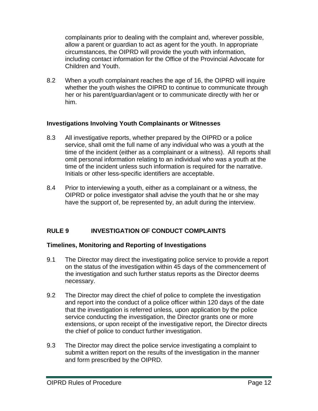complainants prior to dealing with the complaint and, wherever possible, allow a parent or guardian to act as agent for the youth. In appropriate circumstances, the OIPRD will provide the youth with information, including contact information for the Office of the Provincial Advocate for Children and Youth.

8.2 When a youth complainant reaches the age of 16, the OIPRD will inquire whether the youth wishes the OIPRD to continue to communicate through her or his parent/guardian/agent or to communicate directly with her or him.

#### **Investigations Involving Youth Complainants or Witnesses**

- 8.3 All investigative reports, whether prepared by the OIPRD or a police service, shall omit the full name of any individual who was a youth at the time of the incident (either as a complainant or a witness). All reports shall omit personal information relating to an individual who was a youth at the time of the incident unless such information is required for the narrative. Initials or other less-specific identifiers are acceptable.
- 8.4 Prior to interviewing a youth, either as a complainant or a witness, the OIPRD or police investigator shall advise the youth that he or she may have the support of, be represented by, an adult during the interview.

# <span id="page-11-0"></span>**RULE 9 INVESTIGATION OF CONDUCT COMPLAINTS**

#### **Timelines, Monitoring and Reporting of Investigations**

- 9.1 The Director may direct the investigating police service to provide a report on the status of the investigation within 45 days of the commencement of the investigation and such further status reports as the Director deems necessary.
- 9.2 The Director may direct the chief of police to complete the investigation and report into the conduct of a police officer within 120 days of the date that the investigation is referred unless, upon application by the police service conducting the investigation, the Director grants one or more extensions, or upon receipt of the investigative report, the Director directs the chief of police to conduct further investigation.
- 9.3 The Director may direct the police service investigating a complaint to submit a written report on the results of the investigation in the manner and form prescribed by the OIPRD.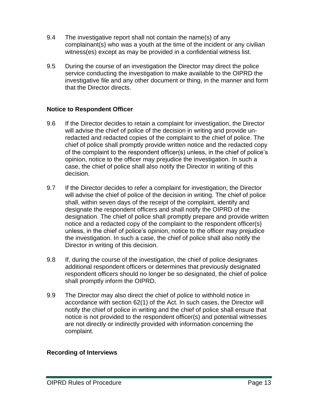- 9.4 The investigative report shall not contain the name(s) of any complainant(s) who was a youth at the time of the incident or any civilian witness(es) except as may be provided in a confidential witness list.
- 9.5 During the course of an investigation the Director may direct the police service conducting the investigation to make available to the OIPRD the investigative file and any other document or thing, in the manner and form that the Director directs.

#### **Notice to Respondent Officer**

- 9.6 If the Director decides to retain a complaint for investigation, the Director will advise the chief of police of the decision in writing and provide unredacted and redacted copies of the complaint to the chief of police. The chief of police shall promptly provide written notice and the redacted copy of the complaint to the respondent officer(s) unless, in the chief of police's opinion, notice to the officer may prejudice the investigation. In such a case, the chief of police shall also notify the Director in writing of this decision.
- 9.7 If the Director decides to refer a complaint for investigation, the Director will advise the chief of police of the decision in writing. The chief of police shall, within seven days of the receipt of the complaint, identify and designate the respondent officers and shall notify the OIPRD of the designation. The chief of police shall promptly prepare and provide written notice and a redacted copy of the complaint to the respondent officer(s) unless, in the chief of police's opinion, notice to the officer may prejudice the investigation. In such a case, the chief of police shall also notify the Director in writing of this decision.
- 9.8 If, during the course of the investigation, the chief of police designates additional respondent officers or determines that previously designated respondent officers should no longer be so designated, the chief of police shall promptly inform the OIPRD.
- 9.9 The Director may also direct the chief of police to withhold notice in accordance with section 62(1) of the Act. In such cases, the Director will notify the chief of police in writing and the chief of police shall ensure that notice is not provided to the respondent officer(s) and potential witnesses are not directly or indirectly provided with information concerning the complaint.

#### **Recording of Interviews**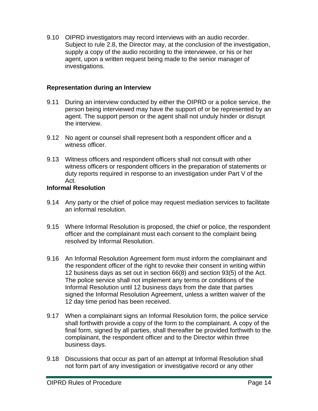9.10 OIPRD investigators may record interviews with an audio recorder. Subject to rule 2.8, the Director may, at the conclusion of the investigation, supply a copy of the audio recording to the interviewee, or his or her agent, upon a written request being made to the senior manager of investigations.

#### **Representation during an Interview**

- 9.11 During an interview conducted by either the OIPRD or a police service, the person being interviewed may have the support of or be represented by an agent. The support person or the agent shall not unduly hinder or disrupt the interview.
- 9.12 No agent or counsel shall represent both a respondent officer and a witness officer.
- 9.13 Witness officers and respondent officers shall not consult with other witness officers or respondent officers in the preparation of statements or duty reports required in response to an investigation under Part V of the Act.

#### **Informal Resolution**

- 9.14 Any party or the chief of police may request mediation services to facilitate an informal resolution.
- 9.15 Where Informal Resolution is proposed, the chief or police, the respondent officer and the complainant must each consent to the complaint being resolved by Informal Resolution.
- 9.16 An Informal Resolution Agreement form must inform the complainant and the respondent officer of the right to revoke their consent in writing within 12 business days as set out in section 66(8) and section 93(5) of the Act. The police service shall not implement any terms or conditions of the Informal Resolution until 12 business days from the date that parties signed the Informal Resolution Agreement, unless a written waiver of the 12 day time period has been received.
- 9.17 When a complainant signs an Informal Resolution form, the police service shall forthwith provide a copy of the form to the complainant. A copy of the final form, signed by all parties, shall thereafter be provided forthwith to the complainant, the respondent officer and to the Director within three business days.
- 9.18 Discussions that occur as part of an attempt at Informal Resolution shall not form part of any investigation or investigative record or any other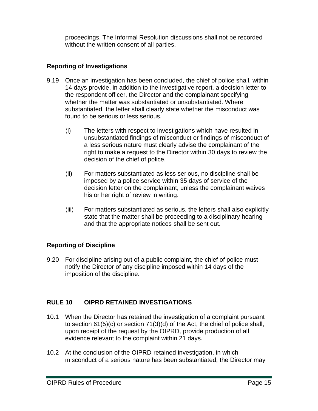proceedings. The Informal Resolution discussions shall not be recorded without the written consent of all parties.

# **Reporting of Investigations**

- 9.19 Once an investigation has been concluded, the chief of police shall, within 14 days provide, in addition to the investigative report, a decision letter to the respondent officer, the Director and the complainant specifying whether the matter was substantiated or unsubstantiated. Where substantiated, the letter shall clearly state whether the misconduct was found to be serious or less serious.
	- (i) The letters with respect to investigations which have resulted in unsubstantiated findings of misconduct or findings of misconduct of a less serious nature must clearly advise the complainant of the right to make a request to the Director within 30 days to review the decision of the chief of police.
	- (ii) For matters substantiated as less serious, no discipline shall be imposed by a police service within 35 days of service of the decision letter on the complainant, unless the complainant waives his or her right of review in writing.
	- (iii) For matters substantiated as serious, the letters shall also explicitly state that the matter shall be proceeding to a disciplinary hearing and that the appropriate notices shall be sent out.

# **Reporting of Discipline**

9.20 For discipline arising out of a public complaint, the chief of police must notify the Director of any discipline imposed within 14 days of the imposition of the discipline.

# <span id="page-14-0"></span>**RULE 10 OIPRD RETAINED INVESTIGATIONS**

- 10.1 When the Director has retained the investigation of a complaint pursuant to section 61(5)(c) or section 71(3)(d) of the Act, the chief of police shall, upon receipt of the request by the OIPRD, provide production of all evidence relevant to the complaint within 21 days.
- 10.2 At the conclusion of the OIPRD-retained investigation, in which misconduct of a serious nature has been substantiated, the Director may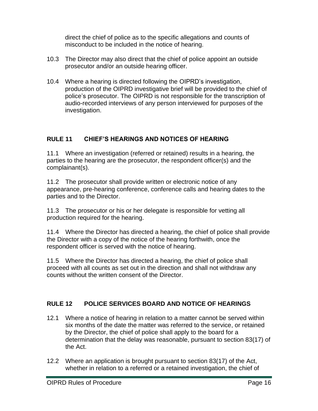direct the chief of police as to the specific allegations and counts of misconduct to be included in the notice of hearing.

- 10.3 The Director may also direct that the chief of police appoint an outside prosecutor and/or an outside hearing officer.
- 10.4 Where a hearing is directed following the OIPRD's investigation, production of the OIPRD investigative brief will be provided to the chief of police's prosecutor. The OIPRD is not responsible for the transcription of audio-recorded interviews of any person interviewed for purposes of the investigation.

# <span id="page-15-0"></span>**RULE 11 CHIEF'S HEARINGS AND NOTICES OF HEARING**

11.1 Where an investigation (referred or retained) results in a hearing, the parties to the hearing are the prosecutor, the respondent officer(s) and the complainant(s).

11.2 The prosecutor shall provide written or electronic notice of any appearance, pre-hearing conference, conference calls and hearing dates to the parties and to the Director.

11.3 The prosecutor or his or her delegate is responsible for vetting all production required for the hearing.

11.4 Where the Director has directed a hearing, the chief of police shall provide the Director with a copy of the notice of the hearing forthwith, once the respondent officer is served with the notice of hearing.

11.5 Where the Director has directed a hearing, the chief of police shall proceed with all counts as set out in the direction and shall not withdraw any counts without the written consent of the Director.

# <span id="page-15-1"></span>**RULE 12 POLICE SERVICES BOARD AND NOTICE OF HEARINGS**

- 12.1 Where a notice of hearing in relation to a matter cannot be served within six months of the date the matter was referred to the service, or retained by the Director, the chief of police shall apply to the board for a determination that the delay was reasonable, pursuant to section 83(17) of the Act.
- 12.2 Where an application is brought pursuant to section 83(17) of the Act, whether in relation to a referred or a retained investigation, the chief of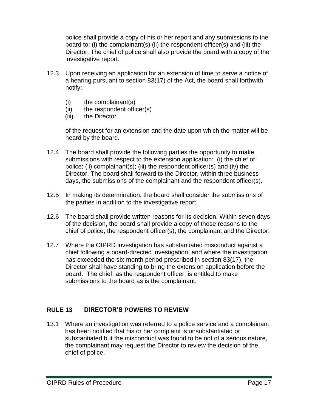police shall provide a copy of his or her report and any submissions to the board to: (i) the complainant(s) (ii) the respondent officer(s) and (iii) the Director. The chief of police shall also provide the board with a copy of the investigative report.

- 12.3 Upon receiving an application for an extension of time to serve a notice of a hearing pursuant to section 83(17) of the Act, the board shall forthwith notify:
	- (i) the complainant(s)
	- (ii) the respondent officer(s)
	- (iii) the Director

of the request for an extension and the date upon which the matter will be heard by the board.

- 12.4 The board shall provide the following parties the opportunity to make submissions with respect to the extension application: (i) the chief of police; (ii) complainant(s); (iii) the respondent officer(s) and (iv) the Director. The board shall forward to the Director, within three business days, the submissions of the complainant and the respondent officer(s).
- 12.5 In making its determination, the board shall consider the submissions of the parties in addition to the investigative report.
- 12.6 The board shall provide written reasons for its decision. Within seven days of the decision, the board shall provide a copy of those reasons to the chief of police, the respondent officer(s), the complainant and the Director.
- 12.7 Where the OIPRD investigation has substantiated misconduct against a chief following a board-directed investigation, and where the investigation has exceeded the six-month period prescribed in section 83(17), the Director shall have standing to bring the extension application before the board. The chief, as the respondent officer, is entitled to make submissions to the board as is the complainant.

# <span id="page-16-0"></span>**RULE 13 DIRECTOR'S POWERS TO REVIEW**

13.1 Where an investigation was referred to a police service and a complainant has been notified that his or her complaint is unsubstantiated or substantiated but the misconduct was found to be not of a serious nature, the complainant may request the Director to review the decision of the chief of police.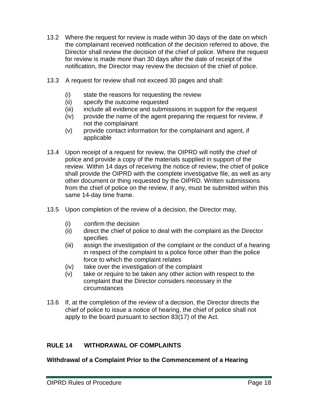- 13.2 Where the request for review is made within 30 days of the date on which the complainant received notification of the decision referred to above, the Director shall review the decision of the chief of police. Where the request for review is made more than 30 days after the date of receipt of the notification, the Director may review the decision of the chief of police.
- 13.3 A request for review shall not exceed 30 pages and shall:
	- (i) state the reasons for requesting the review
	- (ii) specify the outcome requested
	- (iii) include all evidence and submissions in support for the request
	- (iv) provide the name of the agent preparing the request for review, if not the complainant
	- (v) provide contact information for the complainant and agent, if applicable
- 13.4 Upon receipt of a request for review, the OIPRD will notify the chief of police and provide a copy of the materials supplied in support of the review. Within 14 days of receiving the notice of review, the chief of police shall provide the OIPRD with the complete investigative file, as well as any other document or thing requested by the OIPRD. Written submissions from the chief of police on the review, if any, must be submitted within this same 14-day time frame.
- 13.5 Upon completion of the review of a decision, the Director may,
	- (i) confirm the decision
	- (ii) direct the chief of police to deal with the complaint as the Director specifies
	- (iii) assign the investigation of the complaint or the conduct of a hearing in respect of the complaint to a police force other than the police force to which the complaint relates
	- (iv) take over the investigation of the complaint
	- (v) take or require to be taken any other action with respect to the complaint that the Director considers necessary in the circumstances
- 13.6 If, at the completion of the review of a decision, the Director directs the chief of police to issue a notice of hearing, the chief of police shall not apply to the board pursuant to section 83(17) of the Act.

#### <span id="page-17-0"></span>**RULE 14 WITHDRAWAL OF COMPLAINTS**

**Withdrawal of a Complaint Prior to the Commencement of a Hearing**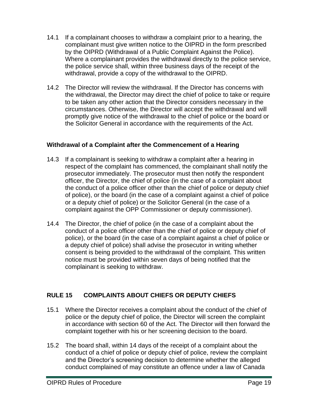- 14.1 If a complainant chooses to withdraw a complaint prior to a hearing, the complainant must give written notice to the OIPRD in the form prescribed by the OIPRD (Withdrawal of a Public Complaint Against the Police). Where a complainant provides the withdrawal directly to the police service, the police service shall, within three business days of the receipt of the withdrawal, provide a copy of the withdrawal to the OIPRD.
- 14.2 The Director will review the withdrawal. If the Director has concerns with the withdrawal, the Director may direct the chief of police to take or require to be taken any other action that the Director considers necessary in the circumstances. Otherwise, the Director will accept the withdrawal and will promptly give notice of the withdrawal to the chief of police or the board or the Solicitor General in accordance with the requirements of the Act.

# **Withdrawal of a Complaint after the Commencement of a Hearing**

- 14.3 If a complainant is seeking to withdraw a complaint after a hearing in respect of the complaint has commenced, the complainant shall notify the prosecutor immediately. The prosecutor must then notify the respondent officer, the Director, the chief of police (in the case of a complaint about the conduct of a police officer other than the chief of police or deputy chief of police), or the board (in the case of a complaint against a chief of police or a deputy chief of police) or the Solicitor General (in the case of a complaint against the OPP Commissioner or deputy commissioner).
- 14.4 The Director, the chief of police (in the case of a complaint about the conduct of a police officer other than the chief of police or deputy chief of police), or the board (in the case of a complaint against a chief of police or a deputy chief of police) shall advise the prosecutor in writing whether consent is being provided to the withdrawal of the complaint. This written notice must be provided within seven days of being notified that the complainant is seeking to withdraw.

# <span id="page-18-0"></span>**RULE 15 COMPLAINTS ABOUT CHIEFS OR DEPUTY CHIEFS**

- 15.1 Where the Director receives a complaint about the conduct of the chief of police or the deputy chief of police, the Director will screen the complaint in accordance with section 60 of the Act. The Director will then forward the complaint together with his or her screening decision to the board.
- 15.2 The board shall, within 14 days of the receipt of a complaint about the conduct of a chief of police or deputy chief of police, review the complaint and the Director's screening decision to determine whether the alleged conduct complained of may constitute an offence under a law of Canada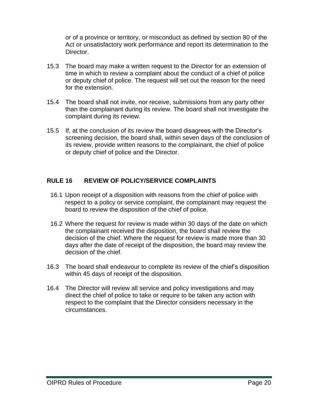or of a province or territory, or misconduct as defined by section 80 of the Act or unsatisfactory work performance and report its determination to the Director.

- 15.3 The board may make a written request to the Director for an extension of time in which to review a complaint about the conduct of a chief of police or deputy chief of police. The request will set out the reason for the need for the extension.
- 15.4 The board shall not invite, nor receive, submissions from any party other than the complainant during its review. The board shall not investigate the complaint during its review.
- 15.5 If, at the conclusion of its review the board disagrees with the Director's screening decision, the board shall, within seven days of the conclusion of its review, provide written reasons to the complainant, the chief of police or deputy chief of police and the Director.

#### <span id="page-19-0"></span>**RULE 16 REVIEW OF POLICY/SERVICE COMPLAINTS**

- 16.1 Upon receipt of a disposition with reasons from the chief of police with respect to a policy or service complaint, the complainant may request the board to review the disposition of the chief of police.
- 16.2 Where the request for review is made within 30 days of the date on which the complainant received the disposition, the board shall review the decision of the chief. Where the request for review is made more than 30 days after the date of receipt of the disposition, the board may review the decision of the chief.
- 16.3 The board shall endeavour to complete its review of the chief's disposition within 45 days of receipt of the disposition.
- 16.4 The Director will review all service and policy investigations and may direct the chief of police to take or require to be taken any action with respect to the complaint that the Director considers necessary in the circumstances.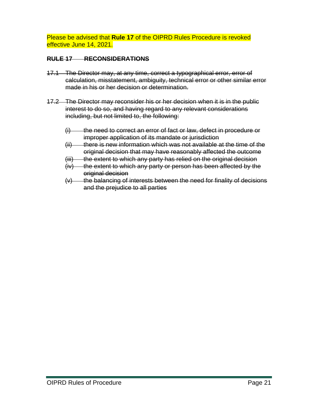Please be advised that **Rule 17** of the OIPRD Rules Procedure is revoked effective June 14, 2021.

#### <span id="page-20-0"></span>**RULE 17 RECONSIDERATIONS**

- 17.1 The Director may, at any time, correct a typographical error, error of calculation, misstatement, ambiguity, technical error or other similar error made in his or her decision or determination.
- 17.2 The Director may reconsider his or her decision when it is in the public interest to do so, and having regard to any relevant considerations including, but not limited to, the following:
	- (i) the need to correct an error of fact or law, defect in procedure or improper application of its mandate or jurisdiction
	- $(i)$  there is new information which was not available at the time of the original decision that may have reasonably affected the outcome
	- (iii) the extent to which any party has relied on the original decision
	- $(iv)$  the extent to which any party or person has been affected by the original decision
	- $(v)$  the balancing of interests between the need for finality of decisions and the prejudice to all parties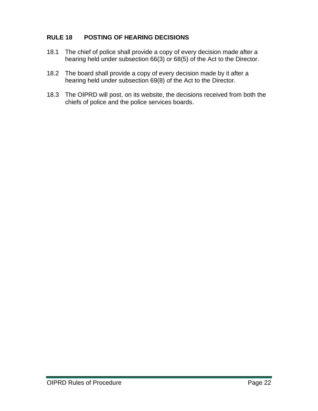### <span id="page-21-0"></span>**RULE 18 POSTING OF HEARING DECISIONS**

- 18.1 The chief of police shall provide a copy of every decision made after a hearing held under subsection 66(3) or 68(5) of the Act to the Director.
- 18.2 The board shall provide a copy of every decision made by it after a hearing held under subsection 69(8) of the Act to the Director.
- 18.3 The OIPRD will post, on its website, the decisions received from both the chiefs of police and the police services boards.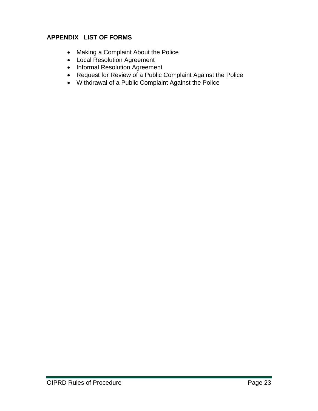### <span id="page-22-0"></span>**APPENDIX LIST OF FORMS**

- Making a Complaint About the Police
- Local Resolution Agreement
- Informal Resolution Agreement
- Request for Review of a Public Complaint Against the Police
- Withdrawal of a Public Complaint Against the Police